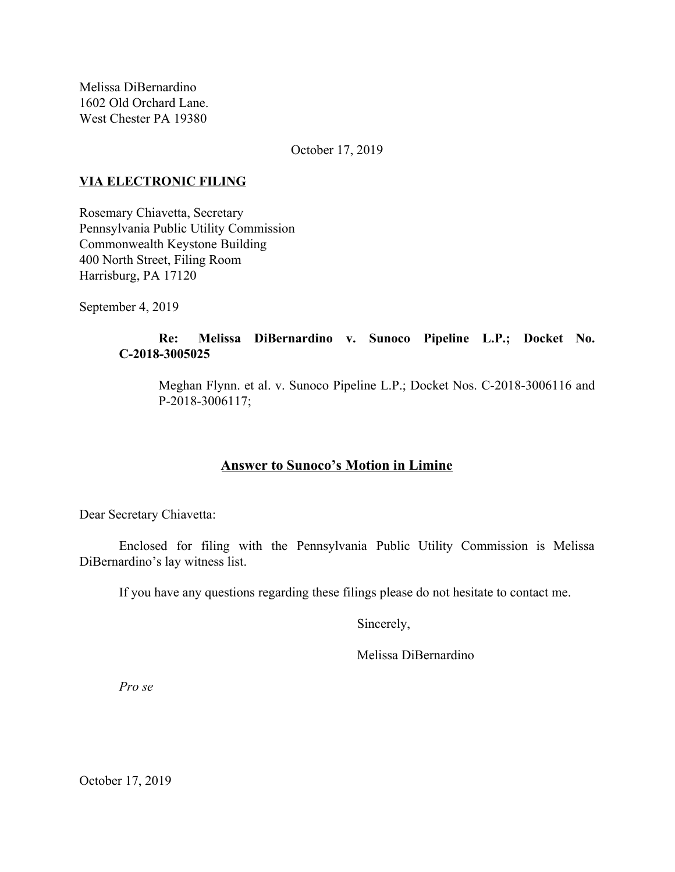Melissa DiBernardino 1602 Old Orchard Lane. West Chester PA 19380

October 17, 2019

### **VIA ELECTRONIC FILING**

Rosemary Chiavetta, Secretary Pennsylvania Public Utility Commission Commonwealth Keystone Building 400 North Street, Filing Room Harrisburg, PA 17120

September 4, 2019

# **Re: Melissa DiBernardino v. Sunoco Pipeline L.P.; Docket No. C-2018-3005025**

Meghan Flynn. et al. v. Sunoco Pipeline L.P.; Docket Nos. C-2018-3006116 and P-2018-3006117;

## **Answer to Sunoco's Motion in Limine**

Dear Secretary Chiavetta:

Enclosed for filing with the Pennsylvania Public Utility Commission is Melissa DiBernardino's lay witness list.

If you have any questions regarding these filings please do not hesitate to contact me.

Sincerely,

Melissa DiBernardino

*Pro se*

October 17, 2019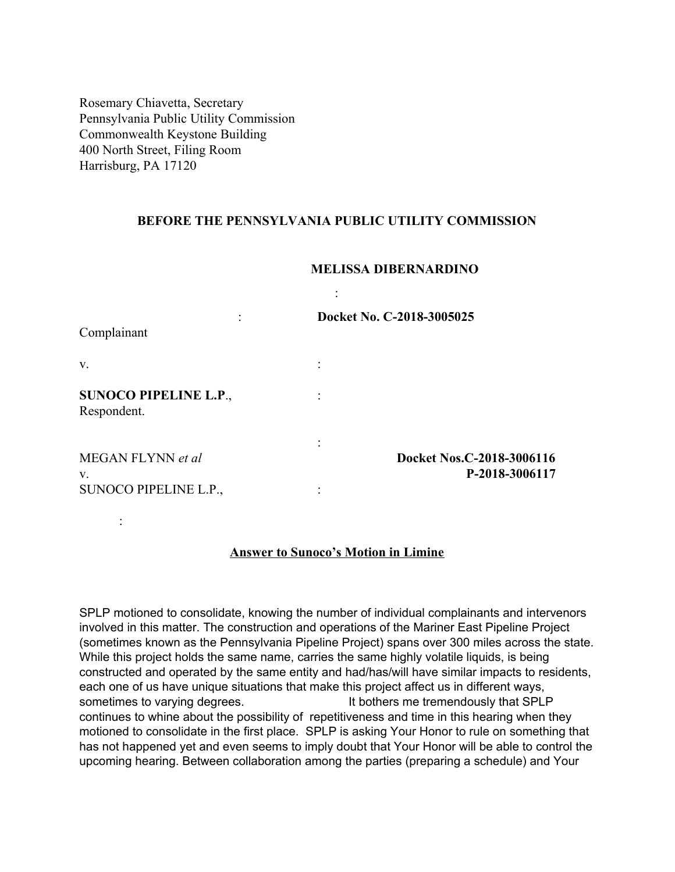Rosemary Chiavetta, Secretary Pennsylvania Public Utility Commission Commonwealth Keystone Building 400 North Street, Filing Room Harrisburg, PA 17120

:

### **BEFORE THE PENNSYLVANIA PUBLIC UTILITY COMMISSION**

## **MELISSA DIBERNARDINO**

| Complainant                                 | Docket No. C-2018-3005025                   |
|---------------------------------------------|---------------------------------------------|
| V.                                          |                                             |
| <b>SUNOCO PIPELINE L.P.,</b><br>Respondent. |                                             |
| MEGAN FLYNN et al<br>V.                     | Docket Nos.C-2018-3006116<br>P-2018-3006117 |
| SUNOCO PIPELINE L.P.,                       |                                             |

#### **Answer to Sunoco's Motion in Limine**

SPLP motioned to consolidate, knowing the number of individual complainants and intervenors involved in this matter. The construction and operations of the Mariner East Pipeline Project (sometimes known as the Pennsylvania Pipeline Project) spans over 300 miles across the state. While this project holds the same name, carries the same highly volatile liquids, is being constructed and operated by the same entity and had/has/will have similar impacts to residents, each one of us have unique situations that make this project affect us in different ways, sometimes to varying degrees. It bothers me tremendously that SPLP continues to whine about the possibility of repetitiveness and time in this hearing when they motioned to consolidate in the first place. SPLP is asking Your Honor to rule on something that has not happened yet and even seems to imply doubt that Your Honor will be able to control the upcoming hearing. Between collaboration among the parties (preparing a schedule) and Your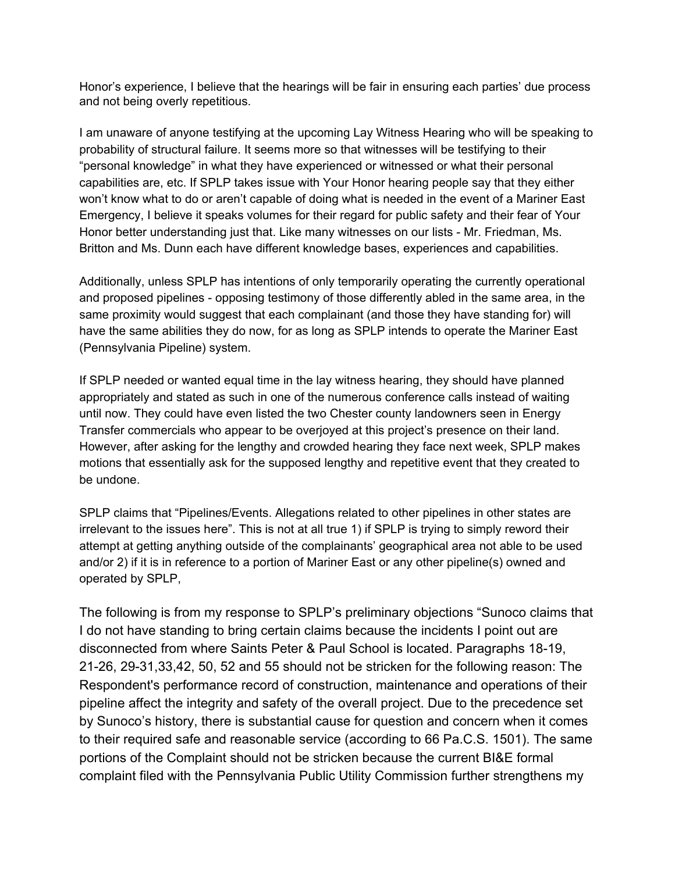Honor's experience, I believe that the hearings will be fair in ensuring each parties' due process and not being overly repetitious.

I am unaware of anyone testifying at the upcoming Lay Witness Hearing who will be speaking to probability of structural failure. It seems more so that witnesses will be testifying to their "personal knowledge" in what they have experienced or witnessed or what their personal capabilities are, etc. If SPLP takes issue with Your Honor hearing people say that they either won't know what to do or aren't capable of doing what is needed in the event of a Mariner East Emergency, I believe it speaks volumes for their regard for public safety and their fear of Your Honor better understanding just that. Like many witnesses on our lists - Mr. Friedman, Ms. Britton and Ms. Dunn each have different knowledge bases, experiences and capabilities.

Additionally, unless SPLP has intentions of only temporarily operating the currently operational and proposed pipelines - opposing testimony of those differently abled in the same area, in the same proximity would suggest that each complainant (and those they have standing for) will have the same abilities they do now, for as long as SPLP intends to operate the Mariner East (Pennsylvania Pipeline) system.

If SPLP needed or wanted equal time in the lay witness hearing, they should have planned appropriately and stated as such in one of the numerous conference calls instead of waiting until now. They could have even listed the two Chester county landowners seen in Energy Transfer commercials who appear to be overjoyed at this project's presence on their land. However, after asking for the lengthy and crowded hearing they face next week, SPLP makes motions that essentially ask for the supposed lengthy and repetitive event that they created to be undone.

SPLP claims that "Pipelines/Events. Allegations related to other pipelines in other states are irrelevant to the issues here". This is not at all true 1) if SPLP is trying to simply reword their attempt at getting anything outside of the complainants' geographical area not able to be used and/or 2) if it is in reference to a portion of Mariner East or any other pipeline(s) owned and operated by SPLP,

The following is from my response to SPLP's preliminary objections "Sunoco claims that I do not have standing to bring certain claims because the incidents I point out are disconnected from where Saints Peter & Paul School is located. Paragraphs 18-19, 21-26, 29-31,33,42, 50, 52 and 55 should not be stricken for the following reason: The Respondent's performance record of construction, maintenance and operations of their pipeline affect the integrity and safety of the overall project. Due to the precedence set by Sunoco's history, there is substantial cause for question and concern when it comes to their required safe and reasonable service (according to 66 Pa.C.S. 1501). The same portions of the Complaint should not be stricken because the current BI&E formal complaint filed with the Pennsylvania Public Utility Commission further strengthens my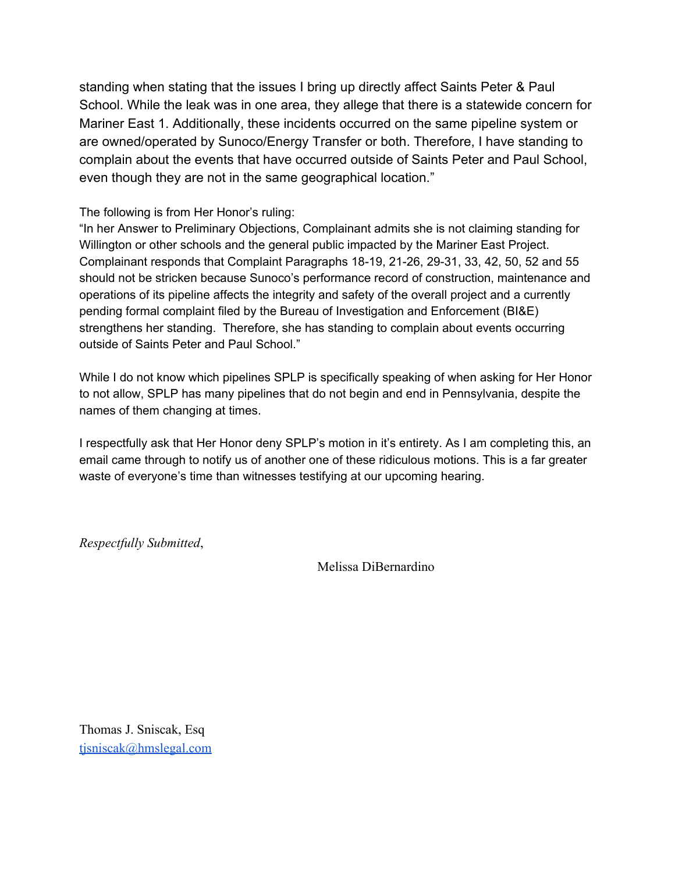standing when stating that the issues I bring up directly affect Saints Peter & Paul School. While the leak was in one area, they allege that there is a statewide concern for Mariner East 1. Additionally, these incidents occurred on the same pipeline system or are owned/operated by Sunoco/Energy Transfer or both. Therefore, I have standing to complain about the events that have occurred outside of Saints Peter and Paul School, even though they are not in the same geographical location."

The following is from Her Honor's ruling:

"In her Answer to Preliminary Objections, Complainant admits she is not claiming standing for Willington or other schools and the general public impacted by the Mariner East Project. Complainant responds that Complaint Paragraphs 18-19, 21-26, 29-31, 33, 42, 50, 52 and 55 should not be stricken because Sunoco's performance record of construction, maintenance and operations of its pipeline affects the integrity and safety of the overall project and a currently pending formal complaint filed by the Bureau of Investigation and Enforcement (BI&E) strengthens her standing. Therefore, she has standing to complain about events occurring outside of Saints Peter and Paul School."

While I do not know which pipelines SPLP is specifically speaking of when asking for Her Honor to not allow, SPLP has many pipelines that do not begin and end in Pennsylvania, despite the names of them changing at times.

I respectfully ask that Her Honor deny SPLP's motion in it's entirety. As I am completing this, an email came through to notify us of another one of these ridiculous motions. This is a far greater waste of everyone's time than witnesses testifying at our upcoming hearing.

*Respectfully Submitted*,

Melissa DiBernardino

Thomas J. Sniscak, Esq [tjsniscak@hmslegal.com](mailto:tjsniscak@hmslegal.com)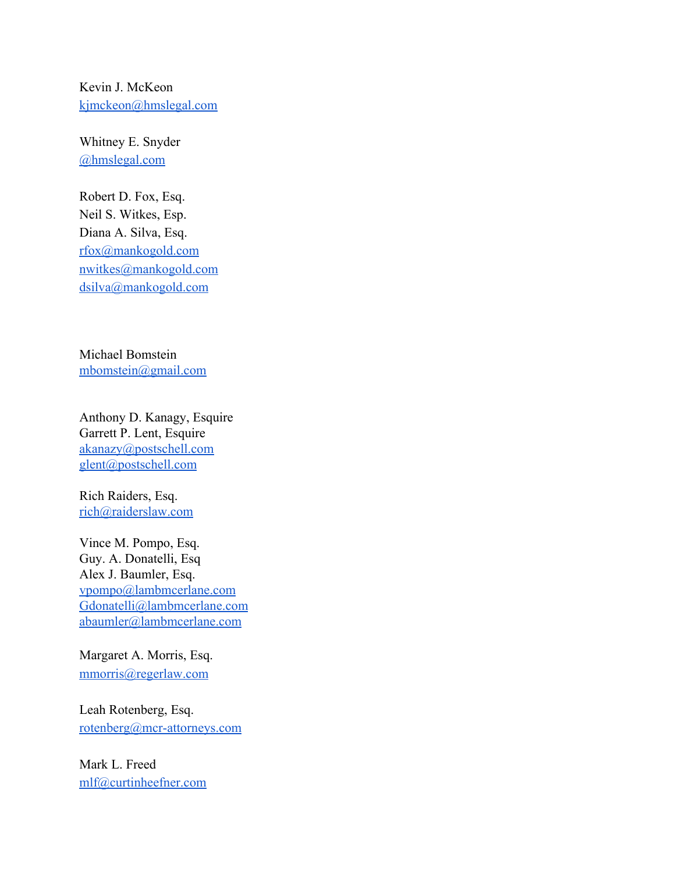Kevin J. McKeon [kjmckeon@hmslegal.com](mailto:kjmckeon@hmslegal.com)

Whitney E. Snyder [@hmslegal.com](mailto:wesnyder@hmslegal.com)

Robert D. Fox, Esq. Neil S. Witkes, Esp. Diana A. Silva, Esq. [rfox@mankogold.com](mailto:rfox@mankogold.com) [nwitkes@mankogold.com](mailto:nwitkes@mankogold.com) [dsilva@mankogold.com](mailto:dsilva@mankogold.com)

Michael Bomstein [mbomstein@gmail.com](mailto:mbomstein@gmail.com)

Anthony D. Kanagy, Esquire Garrett P. Lent, Esquire [akanazy@postschell.com](mailto:akanazy@postschell.com) [glent@postschell.com](mailto:glent@postschell.com)

Rich Raiders, Esq. [rich@raiderslaw.com](mailto:rich@raiderslaw.com)

Vince M. Pompo, Esq. Guy. A. Donatelli, Esq Alex J. Baumler, Esq. [vpompo@lambmcerlane.com](mailto:vpompo@lambmcerlane.com) [Gdonatelli@lambmcerlane.com](mailto:Gdonatelli@lambmcerlane.com) [abaumler@lambmcerlane.com](mailto:abaumler@lambmcerlane.com)

Margaret A. Morris, Esq. [mmorris@regerlaw.com](mailto:mmorris@regerlaw.com)

Leah Rotenberg, Esq. [rotenberg@mcr-attorneys.com](mailto:rotenberg@mcr-attorneys.com)

Mark L. Freed [mlf@curtinheefner.com](mailto:mlf@curtinheefner.com)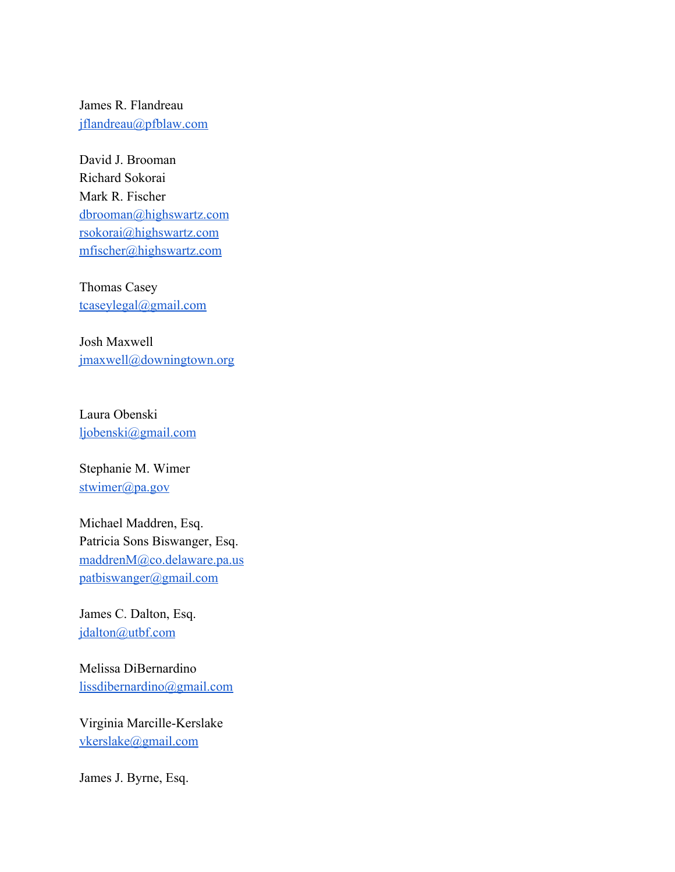James R. Flandreau [jflandreau@pfblaw.com](mailto:jflandreau@pfblaw.com)

David J. Brooman Richard Sokorai Mark R. Fischer [dbrooman@highswartz.com](mailto:dbrooman@highswartz.com) [rsokorai@highswartz.com](mailto:rsokorai@highswartz.com) [mfischer@highswartz.com](mailto:mfischer@highswartz.com)

Thomas Casey [tcaseylegal@gmail.com](mailto:tcaseylegal@gmail.com)

Josh Maxwell [jmaxwell@downingtown.org](mailto:jmaxwell@downingtown.org)

Laura Obenski [ljobenski@gmail.com](mailto:ljobenski@gmail.com)

Stephanie M. Wimer [stwimer@pa.gov](mailto:stwimer@pa.gov)

Michael Maddren, Esq. Patricia Sons Biswanger, Esq. [maddrenM@co.delaware.pa.us](mailto:maddrenM@co.delaware.pa.us) [patbiswanger@gmail.com](mailto:patbiswanger@gmail.com)

James C. Dalton, Esq. [jdalton@utbf.com](mailto:jdalton@utbf.com)

Melissa DiBernardino [lissdibernardino@gmail.com](mailto:lissdibernardino@gmail.com)

Virginia Marcille-Kerslake [vkerslake@gmail.com](mailto:vkerslake@gmail.com)

James J. Byrne, Esq.